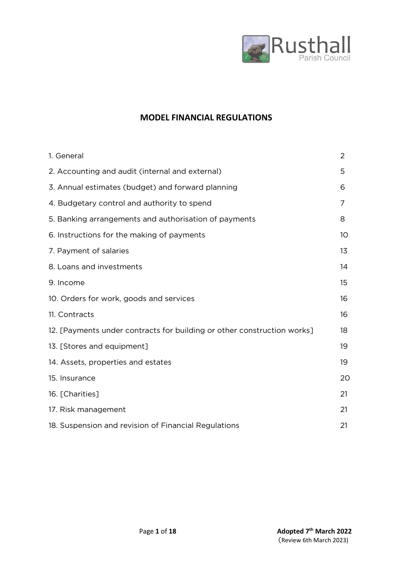

# **MODEL FINANCIAL REGULATIONS**

| 1. General                                                              | 2  |
|-------------------------------------------------------------------------|----|
| 2. Accounting and audit (internal and external)                         | 5  |
| 3. Annual estimates (budget) and forward planning                       | 6  |
| 4. Budgetary control and authority to spend                             | 7  |
| 5. Banking arrangements and authorisation of payments                   | 8  |
| 6. Instructions for the making of payments                              | 10 |
| 7. Payment of salaries                                                  | 13 |
| 8. Loans and investments                                                | 14 |
| 9. Income                                                               | 15 |
| 10. Orders for work, goods and services                                 | 16 |
| 11. Contracts                                                           | 16 |
| 12. [Payments under contracts for building or other construction works] | 18 |
| 13. [Stores and equipment]                                              | 19 |
| 14. Assets, properties and estates                                      | 19 |
| 15. Insurance                                                           | 20 |
| 16. [Charities]                                                         | 21 |
| 17. Risk management                                                     | 21 |
| 18. Suspension and revision of Financial Regulations                    | 21 |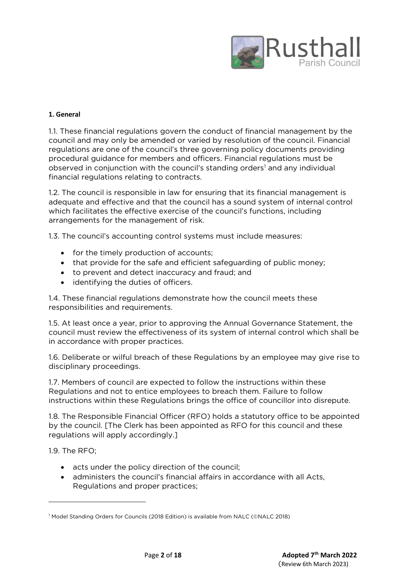

## **1. General**

1.1. These financial regulations govern the conduct of financial management by the council and may only be amended or varied by resolution of the council. Financial regulations are one of the council's three governing policy documents providing procedural guidance for members and officers. Financial regulations must be observed in conjunction with the council's standing orders<sup>1</sup> and any individual financial regulations relating to contracts.

1.2. The council is responsible in law for ensuring that its financial management is adequate and effective and that the council has a sound system of internal control which facilitates the effective exercise of the council's functions, including arrangements for the management of risk.

1.3. The council's accounting control systems must include measures:

- for the timely production of accounts;
- that provide for the safe and efficient safeguarding of public money;
- to prevent and detect inaccuracy and fraud; and
- identifying the duties of officers.

1.4. These financial regulations demonstrate how the council meets these responsibilities and requirements.

1.5. At least once a year, prior to approving the Annual Governance Statement, the council must review the effectiveness of its system of internal control which shall be in accordance with proper practices.

1.6. Deliberate or wilful breach of these Regulations by an employee may give rise to disciplinary proceedings.

1.7. Members of council are expected to follow the instructions within these Regulations and not to entice employees to breach them. Failure to follow instructions within these Regulations brings the office of councillor into disrepute.

1.8. The Responsible Financial Officer (RFO) holds a statutory office to be appointed by the council. [The Clerk has been appointed as RFO for this council and these regulations will apply accordingly.]

1.9. The RFO;

**.** 

- acts under the policy direction of the council;
- administers the council's financial affairs in accordance with all Acts, Regulations and proper practices;

<sup>&</sup>lt;sup>1</sup> Model Standing Orders for Councils (2018 Edition) is available from NALC (©NALC 2018)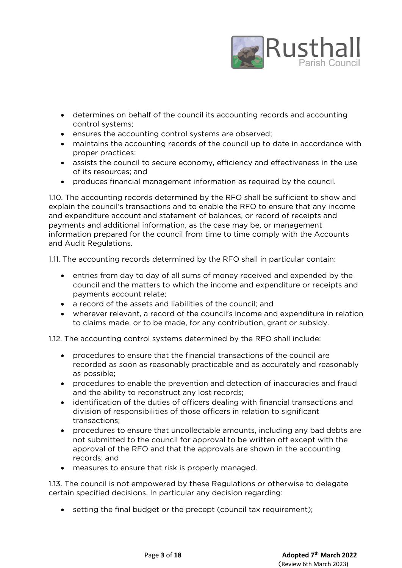

- determines on behalf of the council its accounting records and accounting control systems;
- ensures the accounting control systems are observed;
- maintains the accounting records of the council up to date in accordance with proper practices;
- assists the council to secure economy, efficiency and effectiveness in the use of its resources; and
- produces financial management information as required by the council.

1.10. The accounting records determined by the RFO shall be sufficient to show and explain the council's transactions and to enable the RFO to ensure that any income and expenditure account and statement of balances, or record of receipts and payments and additional information, as the case may be, or management information prepared for the council from time to time comply with the Accounts and Audit Regulations.

1.11. The accounting records determined by the RFO shall in particular contain:

- entries from day to day of all sums of money received and expended by the council and the matters to which the income and expenditure or receipts and payments account relate;
- a record of the assets and liabilities of the council; and
- wherever relevant, a record of the council's income and expenditure in relation to claims made, or to be made, for any contribution, grant or subsidy.

1.12. The accounting control systems determined by the RFO shall include:

- procedures to ensure that the financial transactions of the council are recorded as soon as reasonably practicable and as accurately and reasonably as possible;
- procedures to enable the prevention and detection of inaccuracies and fraud and the ability to reconstruct any lost records;
- identification of the duties of officers dealing with financial transactions and division of responsibilities of those officers in relation to significant transactions;
- procedures to ensure that uncollectable amounts, including any bad debts are not submitted to the council for approval to be written off except with the approval of the RFO and that the approvals are shown in the accounting records; and
- measures to ensure that risk is properly managed.

1.13. The council is not empowered by these Regulations or otherwise to delegate certain specified decisions. In particular any decision regarding:

setting the final budget or the precept (council tax requirement);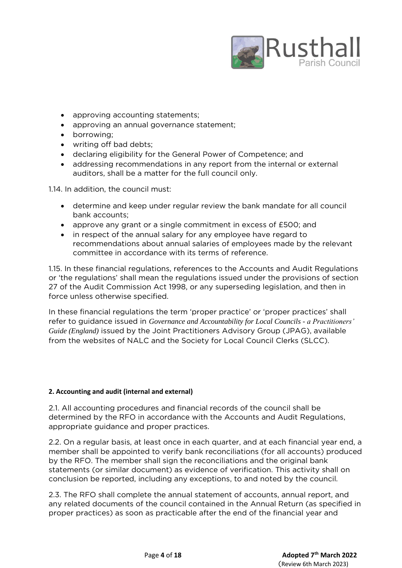

- approving accounting statements;
- approving an annual governance statement;
- borrowing;
- writing off bad debts;
- declaring eligibility for the General Power of Competence; and
- addressing recommendations in any report from the internal or external auditors, shall be a matter for the full council only.

1.14. In addition, the council must:

- determine and keep under regular review the bank mandate for all council bank accounts;
- approve any grant or a single commitment in excess of £500; and
- in respect of the annual salary for any employee have regard to recommendations about annual salaries of employees made by the relevant committee in accordance with its terms of reference.

1.15. In these financial regulations, references to the Accounts and Audit Regulations or 'the regulations' shall mean the regulations issued under the provisions of section 27 of the Audit Commission Act 1998, or any superseding legislation, and then in force unless otherwise specified.

In these financial regulations the term 'proper practice' or 'proper practices' shall refer to guidance issued in *Governance and Accountability for Local Councils - a Practitioners' Guide (England)* issued by the Joint Practitioners Advisory Group (JPAG), available from the websites of NALC and the Society for Local Council Clerks (SLCC).

#### **2. Accounting and audit (internal and external)**

2.1. All accounting procedures and financial records of the council shall be determined by the RFO in accordance with the Accounts and Audit Regulations, appropriate guidance and proper practices.

2.2. On a regular basis, at least once in each quarter, and at each financial year end, a member shall be appointed to verify bank reconciliations (for all accounts) produced by the RFO. The member shall sign the reconciliations and the original bank statements (or similar document) as evidence of verification. This activity shall on conclusion be reported, including any exceptions, to and noted by the council.

2.3. The RFO shall complete the annual statement of accounts, annual report, and any related documents of the council contained in the Annual Return (as specified in proper practices) as soon as practicable after the end of the financial year and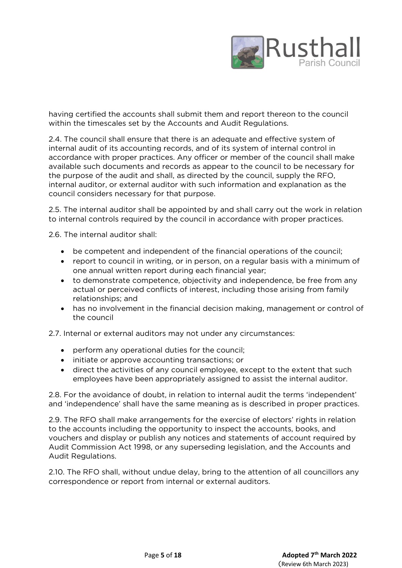

having certified the accounts shall submit them and report thereon to the council within the timescales set by the Accounts and Audit Regulations.

2.4. The council shall ensure that there is an adequate and effective system of internal audit of its accounting records, and of its system of internal control in accordance with proper practices. Any officer or member of the council shall make available such documents and records as appear to the council to be necessary for the purpose of the audit and shall, as directed by the council, supply the RFO, internal auditor, or external auditor with such information and explanation as the council considers necessary for that purpose.

2.5. The internal auditor shall be appointed by and shall carry out the work in relation to internal controls required by the council in accordance with proper practices.

2.6. The internal auditor shall:

- be competent and independent of the financial operations of the council;
- report to council in writing, or in person, on a regular basis with a minimum of one annual written report during each financial year;
- to demonstrate competence, objectivity and independence, be free from any actual or perceived conflicts of interest, including those arising from family relationships; and
- has no involvement in the financial decision making, management or control of the council

2.7. Internal or external auditors may not under any circumstances:

- perform any operational duties for the council;
- initiate or approve accounting transactions; or
- direct the activities of any council employee, except to the extent that such employees have been appropriately assigned to assist the internal auditor.

2.8. For the avoidance of doubt, in relation to internal audit the terms 'independent' and 'independence' shall have the same meaning as is described in proper practices.

2.9. The RFO shall make arrangements for the exercise of electors' rights in relation to the accounts including the opportunity to inspect the accounts, books, and vouchers and display or publish any notices and statements of account required by Audit Commission Act 1998, or any superseding legislation, and the Accounts and Audit Regulations.

2.10. The RFO shall, without undue delay, bring to the attention of all councillors any correspondence or report from internal or external auditors.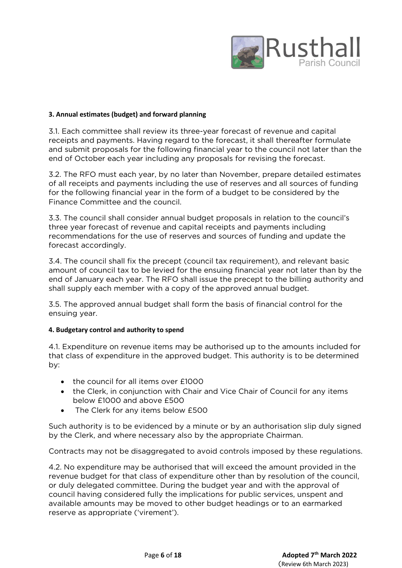

## **3. Annual estimates (budget) and forward planning**

3.1. Each committee shall review its three-year forecast of revenue and capital receipts and payments. Having regard to the forecast, it shall thereafter formulate and submit proposals for the following financial year to the council not later than the end of October each year including any proposals for revising the forecast.

3.2. The RFO must each year, by no later than November, prepare detailed estimates of all receipts and payments including the use of reserves and all sources of funding for the following financial year in the form of a budget to be considered by the Finance Committee and the council.

3.3. The council shall consider annual budget proposals in relation to the council's three year forecast of revenue and capital receipts and payments including recommendations for the use of reserves and sources of funding and update the forecast accordingly.

3.4. The council shall fix the precept (council tax requirement), and relevant basic amount of council tax to be levied for the ensuing financial year not later than by the end of January each year. The RFO shall issue the precept to the billing authority and shall supply each member with a copy of the approved annual budget.

3.5. The approved annual budget shall form the basis of financial control for the ensuing year.

## **4. Budgetary control and authority to spend**

4.1. Expenditure on revenue items may be authorised up to the amounts included for that class of expenditure in the approved budget. This authority is to be determined by:

- the council for all items over £1000
- the Clerk, in conjunction with Chair and Vice Chair of Council for any items below £1000 and above £500
- The Clerk for any items below £500

Such authority is to be evidenced by a minute or by an authorisation slip duly signed by the Clerk, and where necessary also by the appropriate Chairman.

Contracts may not be disaggregated to avoid controls imposed by these regulations.

4.2. No expenditure may be authorised that will exceed the amount provided in the revenue budget for that class of expenditure other than by resolution of the council, or duly delegated committee. During the budget year and with the approval of council having considered fully the implications for public services, unspent and available amounts may be moved to other budget headings or to an earmarked reserve as appropriate ('virement').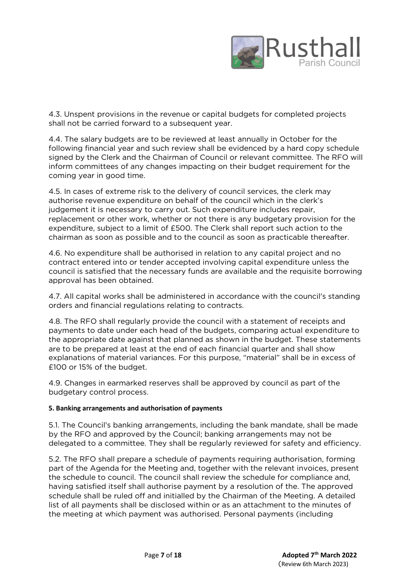

4.3. Unspent provisions in the revenue or capital budgets for completed projects shall not be carried forward to a subsequent year.

4.4. The salary budgets are to be reviewed at least annually in October for the following financial year and such review shall be evidenced by a hard copy schedule signed by the Clerk and the Chairman of Council or relevant committee. The RFO will inform committees of any changes impacting on their budget requirement for the coming year in good time.

4.5. In cases of extreme risk to the delivery of council services, the clerk may authorise revenue expenditure on behalf of the council which in the clerk's judgement it is necessary to carry out. Such expenditure includes repair, replacement or other work, whether or not there is any budgetary provision for the expenditure, subject to a limit of £500. The Clerk shall report such action to the chairman as soon as possible and to the council as soon as practicable thereafter.

4.6. No expenditure shall be authorised in relation to any capital project and no contract entered into or tender accepted involving capital expenditure unless the council is satisfied that the necessary funds are available and the requisite borrowing approval has been obtained.

4.7. All capital works shall be administered in accordance with the council's standing orders and financial regulations relating to contracts.

4.8. The RFO shall regularly provide the council with a statement of receipts and payments to date under each head of the budgets, comparing actual expenditure to the appropriate date against that planned as shown in the budget. These statements are to be prepared at least at the end of each financial quarter and shall show explanations of material variances. For this purpose, "material" shall be in excess of £100 or 15% of the budget.

4.9. Changes in earmarked reserves shall be approved by council as part of the budgetary control process.

## **5. Banking arrangements and authorisation of payments**

5.1. The Council's banking arrangements, including the bank mandate, shall be made by the RFO and approved by the Council; banking arrangements may not be delegated to a committee. They shall be regularly reviewed for safety and efficiency.

5.2. The RFO shall prepare a schedule of payments requiring authorisation, forming part of the Agenda for the Meeting and, together with the relevant invoices, present the schedule to council. The council shall review the schedule for compliance and, having satisfied itself shall authorise payment by a resolution of the. The approved schedule shall be ruled off and initialled by the Chairman of the Meeting. A detailed list of all payments shall be disclosed within or as an attachment to the minutes of the meeting at which payment was authorised. Personal payments (including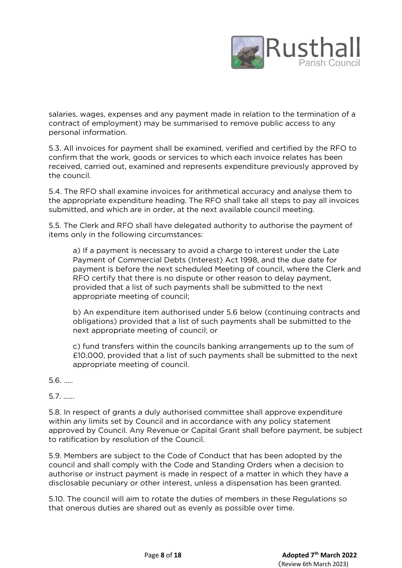

salaries, wages, expenses and any payment made in relation to the termination of a contract of employment) may be summarised to remove public access to any personal information.

5.3. All invoices for payment shall be examined, verified and certified by the RFO to confirm that the work, goods or services to which each invoice relates has been received, carried out, examined and represents expenditure previously approved by the council.

5.4. The RFO shall examine invoices for arithmetical accuracy and analyse them to the appropriate expenditure heading. The RFO shall take all steps to pay all invoices submitted, and which are in order, at the next available council meeting.

5.5. The Clerk and RFO shall have delegated authority to authorise the payment of items only in the following circumstances:

a) If a payment is necessary to avoid a charge to interest under the Late Payment of Commercial Debts (Interest) Act 1998, and the due date for payment is before the next scheduled Meeting of council, where the Clerk and RFO certify that there is no dispute or other reason to delay payment, provided that a list of such payments shall be submitted to the next appropriate meeting of council;

b) An expenditure item authorised under 5.6 below (continuing contracts and obligations) provided that a list of such payments shall be submitted to the next appropriate meeting of council; or

c) fund transfers within the councils banking arrangements up to the sum of £10,000, provided that a list of such payments shall be submitted to the next appropriate meeting of council.

5.6. …..

5.7. …...

5.8. In respect of grants a duly authorised committee shall approve expenditure within any limits set by Council and in accordance with any policy statement approved by Council. Any Revenue or Capital Grant shall before payment, be subject to ratification by resolution of the Council.

5.9. Members are subject to the Code of Conduct that has been adopted by the council and shall comply with the Code and Standing Orders when a decision to authorise or instruct payment is made in respect of a matter in which they have a disclosable pecuniary or other interest, unless a dispensation has been granted.

5.10. The council will aim to rotate the duties of members in these Regulations so that onerous duties are shared out as evenly as possible over time.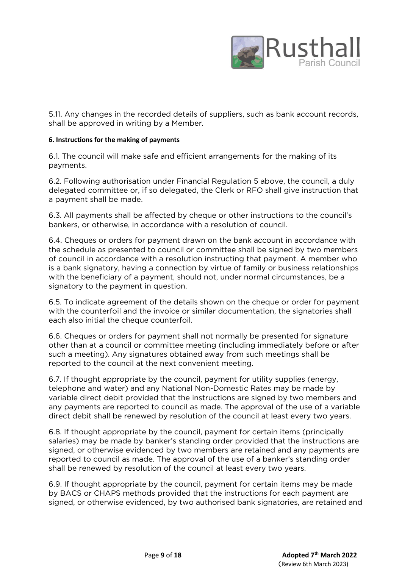

5.11. Any changes in the recorded details of suppliers, such as bank account records, shall be approved in writing by a Member.

### **6. Instructions for the making of payments**

6.1. The council will make safe and efficient arrangements for the making of its payments.

6.2. Following authorisation under Financial Regulation 5 above, the council, a duly delegated committee or, if so delegated, the Clerk or RFO shall give instruction that a payment shall be made.

6.3. All payments shall be affected by cheque or other instructions to the council's bankers, or otherwise, in accordance with a resolution of council.

6.4. Cheques or orders for payment drawn on the bank account in accordance with the schedule as presented to council or committee shall be signed by two members of council in accordance with a resolution instructing that payment. A member who is a bank signatory, having a connection by virtue of family or business relationships with the beneficiary of a payment, should not, under normal circumstances, be a signatory to the payment in question.

6.5. To indicate agreement of the details shown on the cheque or order for payment with the counterfoil and the invoice or similar documentation, the signatories shall each also initial the cheque counterfoil.

6.6. Cheques or orders for payment shall not normally be presented for signature other than at a council or committee meeting (including immediately before or after such a meeting). Any signatures obtained away from such meetings shall be reported to the council at the next convenient meeting.

6.7. If thought appropriate by the council, payment for utility supplies (energy, telephone and water) and any National Non-Domestic Rates may be made by variable direct debit provided that the instructions are signed by two members and any payments are reported to council as made. The approval of the use of a variable direct debit shall be renewed by resolution of the council at least every two years.

6.8. If thought appropriate by the council, payment for certain items (principally salaries) may be made by banker's standing order provided that the instructions are signed, or otherwise evidenced by two members are retained and any payments are reported to council as made. The approval of the use of a banker's standing order shall be renewed by resolution of the council at least every two years.

6.9. If thought appropriate by the council, payment for certain items may be made by BACS or CHAPS methods provided that the instructions for each payment are signed, or otherwise evidenced, by two authorised bank signatories, are retained and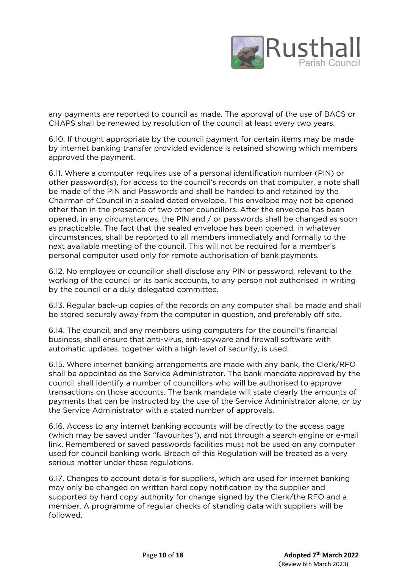

any payments are reported to council as made. The approval of the use of BACS or CHAPS shall be renewed by resolution of the council at least every two years.

6.10. If thought appropriate by the council payment for certain items may be made by internet banking transfer provided evidence is retained showing which members approved the payment.

6.11. Where a computer requires use of a personal identification number (PIN) or other password(s), for access to the council's records on that computer, a note shall be made of the PIN and Passwords and shall be handed to and retained by the Chairman of Council in a sealed dated envelope. This envelope may not be opened other than in the presence of two other councillors. After the envelope has been opened, in any circumstances, the PIN and / or passwords shall be changed as soon as practicable. The fact that the sealed envelope has been opened, in whatever circumstances, shall be reported to all members immediately and formally to the next available meeting of the council. This will not be required for a member's personal computer used only for remote authorisation of bank payments.

6.12. No employee or councillor shall disclose any PIN or password, relevant to the working of the council or its bank accounts, to any person not authorised in writing by the council or a duly delegated committee.

6.13. Regular back-up copies of the records on any computer shall be made and shall be stored securely away from the computer in question, and preferably off site.

6.14. The council, and any members using computers for the council's financial business, shall ensure that anti-virus, anti-spyware and firewall software with automatic updates, together with a high level of security, is used.

6.15. Where internet banking arrangements are made with any bank, the Clerk/RFO shall be appointed as the Service Administrator. The bank mandate approved by the council shall identify a number of councillors who will be authorised to approve transactions on those accounts. The bank mandate will state clearly the amounts of payments that can be instructed by the use of the Service Administrator alone, or by the Service Administrator with a stated number of approvals.

6.16. Access to any internet banking accounts will be directly to the access page (which may be saved under "favourites"), and not through a search engine or e-mail link. Remembered or saved passwords facilities must not be used on any computer used for council banking work. Breach of this Regulation will be treated as a very serious matter under these regulations.

6.17. Changes to account details for suppliers, which are used for internet banking may only be changed on written hard copy notification by the supplier and supported by hard copy authority for change signed by the Clerk/the RFO and a member. A programme of regular checks of standing data with suppliers will be followed.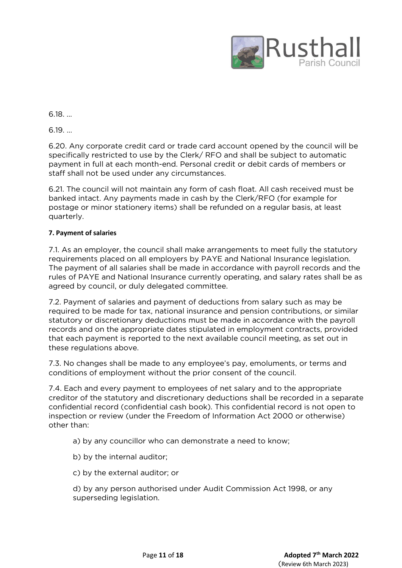

6.18. …

6.19. …

6.20. Any corporate credit card or trade card account opened by the council will be specifically restricted to use by the Clerk/ RFO and shall be subject to automatic payment in full at each month-end. Personal credit or debit cards of members or staff shall not be used under any circumstances.

6.21. The council will not maintain any form of cash float. All cash received must be banked intact. Any payments made in cash by the Clerk/RFO (for example for postage or minor stationery items) shall be refunded on a regular basis, at least quarterly.

# **7. Payment of salaries**

7.1. As an employer, the council shall make arrangements to meet fully the statutory requirements placed on all employers by PAYE and National Insurance legislation. The payment of all salaries shall be made in accordance with payroll records and the rules of PAYE and National Insurance currently operating, and salary rates shall be as agreed by council, or duly delegated committee.

7.2. Payment of salaries and payment of deductions from salary such as may be required to be made for tax, national insurance and pension contributions, or similar statutory or discretionary deductions must be made in accordance with the payroll records and on the appropriate dates stipulated in employment contracts, provided that each payment is reported to the next available council meeting, as set out in these regulations above.

7.3. No changes shall be made to any employee's pay, emoluments, or terms and conditions of employment without the prior consent of the council.

7.4. Each and every payment to employees of net salary and to the appropriate creditor of the statutory and discretionary deductions shall be recorded in a separate confidential record (confidential cash book). This confidential record is not open to inspection or review (under the Freedom of Information Act 2000 or otherwise) other than:

a) by any councillor who can demonstrate a need to know;

- b) by the internal auditor;
- c) by the external auditor; or

d) by any person authorised under Audit Commission Act 1998, or any superseding legislation.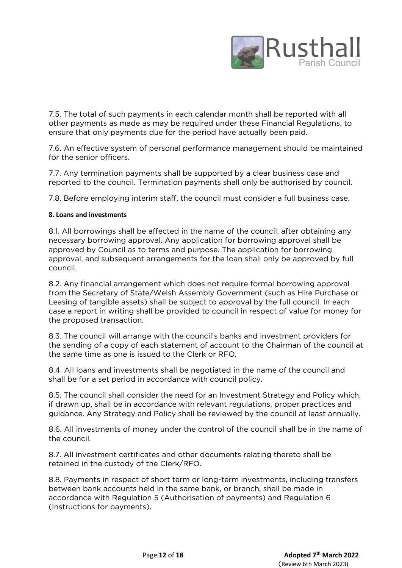

7.5. The total of such payments in each calendar month shall be reported with all other payments as made as may be required under these Financial Regulations, to ensure that only payments due for the period have actually been paid.

7.6. An effective system of personal performance management should be maintained for the senior officers.

7.7. Any termination payments shall be supported by a clear business case and reported to the council. Termination payments shall only be authorised by council.

7.8. Before employing interim staff, the council must consider a full business case.

## **8. Loans and investments**

8.1. All borrowings shall be affected in the name of the council, after obtaining any necessary borrowing approval. Any application for borrowing approval shall be approved by Council as to terms and purpose. The application for borrowing approval, and subsequent arrangements for the loan shall only be approved by full council.

8.2. Any financial arrangement which does not require formal borrowing approval from the Secretary of State/Welsh Assembly Government (such as Hire Purchase or Leasing of tangible assets) shall be subject to approval by the full council. In each case a report in writing shall be provided to council in respect of value for money for the proposed transaction.

8.3. The council will arrange with the council's banks and investment providers for the sending of a copy of each statement of account to the Chairman of the council at the same time as one is issued to the Clerk or RFO.

8.4. All loans and investments shall be negotiated in the name of the council and shall be for a set period in accordance with council policy.

8.5. The council shall consider the need for an Investment Strategy and Policy which, if drawn up, shall be in accordance with relevant regulations, proper practices and guidance. Any Strategy and Policy shall be reviewed by the council at least annually.

8.6. All investments of money under the control of the council shall be in the name of the council.

8.7. All investment certificates and other documents relating thereto shall be retained in the custody of the Clerk/RFO.

8.8. Payments in respect of short term or long-term investments, including transfers between bank accounts held in the same bank, or branch, shall be made in accordance with Regulation 5 (Authorisation of payments) and Regulation 6 (Instructions for payments).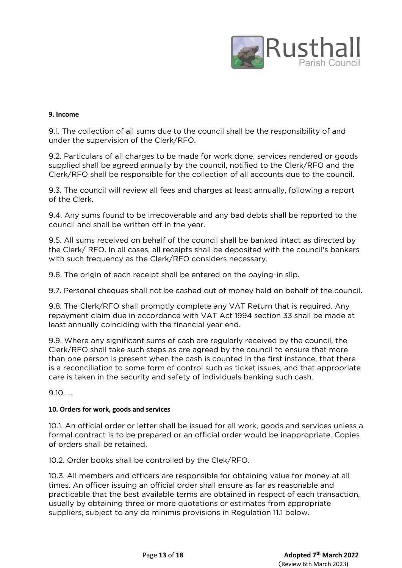

## **9. Income**

9.1. The collection of all sums due to the council shall be the responsibility of and under the supervision of the Clerk/RFO.

9.2. Particulars of all charges to be made for work done, services rendered or goods supplied shall be agreed annually by the council, notified to the Clerk/RFO and the Clerk/RFO shall be responsible for the collection of all accounts due to the council.

9.3. The council will review all fees and charges at least annually, following a report of the Clerk.

9.4. Any sums found to be irrecoverable and any bad debts shall be reported to the council and shall be written off in the year.

9.5. All sums received on behalf of the council shall be banked intact as directed by the Clerk/ RFO. In all cases, all receipts shall be deposited with the council's bankers with such frequency as the Clerk/RFO considers necessary.

9.6. The origin of each receipt shall be entered on the paying-in slip.

9.7. Personal cheques shall not be cashed out of money held on behalf of the council.

9.8. The Clerk/RFO shall promptly complete any VAT Return that is required. Any repayment claim due in accordance with VAT Act 1994 section 33 shall be made at least annually coinciding with the financial year end.

9.9. Where any significant sums of cash are regularly received by the council, the Clerk/RFO shall take such steps as are agreed by the council to ensure that more than one person is present when the cash is counted in the first instance, that there is a reconciliation to some form of control such as ticket issues, and that appropriate care is taken in the security and safety of individuals banking such cash.

9.10. …

## **10. Orders for work, goods and services**

10.1. An official order or letter shall be issued for all work, goods and services unless a formal contract is to be prepared or an official order would be inappropriate. Copies of orders shall be retained.

10.2. Order books shall be controlled by the Clek/RFO.

10.3. All members and officers are responsible for obtaining value for money at all times. An officer issuing an official order shall ensure as far as reasonable and practicable that the best available terms are obtained in respect of each transaction, usually by obtaining three or more quotations or estimates from appropriate suppliers, subject to any de minimis provisions in Regulation 11.1 below.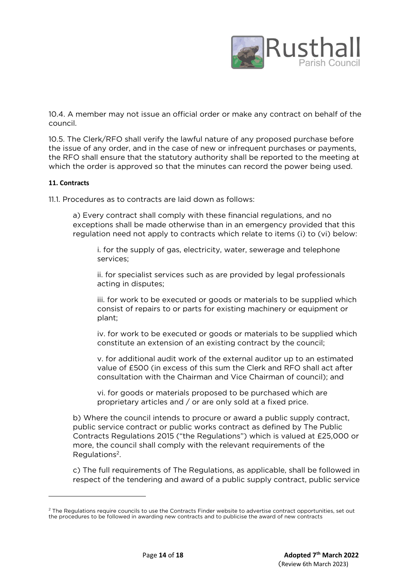

10.4. A member may not issue an official order or make any contract on behalf of the council.

10.5. The Clerk/RFO shall verify the lawful nature of any proposed purchase before the issue of any order, and in the case of new or infrequent purchases or payments, the RFO shall ensure that the statutory authority shall be reported to the meeting at which the order is approved so that the minutes can record the power being used.

## **11. Contracts**

**.** 

11.1. Procedures as to contracts are laid down as follows:

a) Every contract shall comply with these financial regulations, and no exceptions shall be made otherwise than in an emergency provided that this regulation need not apply to contracts which relate to items (i) to (vi) below:

i. for the supply of gas, electricity, water, sewerage and telephone services;

ii. for specialist services such as are provided by legal professionals acting in disputes;

iii. for work to be executed or goods or materials to be supplied which consist of repairs to or parts for existing machinery or equipment or plant;

iv. for work to be executed or goods or materials to be supplied which constitute an extension of an existing contract by the council;

v. for additional audit work of the external auditor up to an estimated value of £500 (in excess of this sum the Clerk and RFO shall act after consultation with the Chairman and Vice Chairman of council); and

vi. for goods or materials proposed to be purchased which are proprietary articles and / or are only sold at a fixed price.

b) Where the council intends to procure or award a public supply contract, public service contract or public works contract as defined by The Public Contracts Regulations 2015 ("the Regulations") which is valued at £25,000 or more, the council shall comply with the relevant requirements of the Regulations<sup>2</sup>.

c) The full requirements of The Regulations, as applicable, shall be followed in respect of the tendering and award of a public supply contract, public service

<sup>&</sup>lt;sup>2</sup> The Regulations require councils to use the Contracts Finder website to advertise contract opportunities, set out the procedures to be followed in awarding new contracts and to publicise the award of new contracts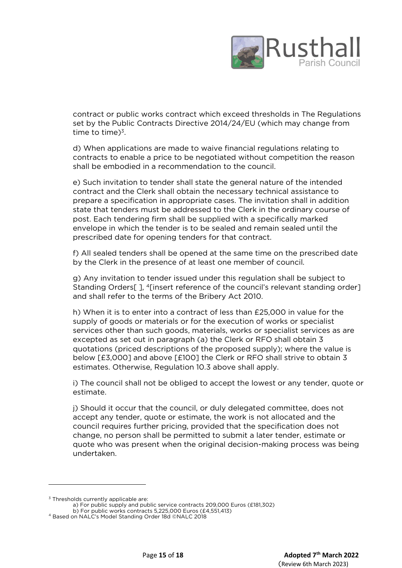

contract or public works contract which exceed thresholds in The Regulations set by the Public Contracts Directive 2014/24/EU (which may change from time to time) $3$ .

d) When applications are made to waive financial regulations relating to contracts to enable a price to be negotiated without competition the reason shall be embodied in a recommendation to the council.

e) Such invitation to tender shall state the general nature of the intended contract and the Clerk shall obtain the necessary technical assistance to prepare a specification in appropriate cases. The invitation shall in addition state that tenders must be addressed to the Clerk in the ordinary course of post. Each tendering firm shall be supplied with a specifically marked envelope in which the tender is to be sealed and remain sealed until the prescribed date for opening tenders for that contract.

f) All sealed tenders shall be opened at the same time on the prescribed date by the Clerk in the presence of at least one member of council.

g) Any invitation to tender issued under this regulation shall be subject to Standing Orders[ ], <sup>4</sup>[insert reference of the council's relevant standing order] and shall refer to the terms of the Bribery Act 2010.

h) When it is to enter into a contract of less than £25,000 in value for the supply of goods or materials or for the execution of works or specialist services other than such goods, materials, works or specialist services as are excepted as set out in paragraph (a) the Clerk or RFO shall obtain 3 quotations (priced descriptions of the proposed supply); where the value is below [£3,000] and above [£100] the Clerk or RFO shall strive to obtain 3 estimates. Otherwise, Regulation 10.3 above shall apply.

i) The council shall not be obliged to accept the lowest or any tender, quote or estimate.

j) Should it occur that the council, or duly delegated committee, does not accept any tender, quote or estimate, the work is not allocated and the council requires further pricing, provided that the specification does not change, no person shall be permitted to submit a later tender, estimate or quote who was present when the original decision-making process was being undertaken.

1

 $3$  Thresholds currently applicable are:

a) For public supply and public service contracts 209,000 Euros (£181,302) b) For public works contracts 5,225,000 Euros (£4,551,413)

<sup>4</sup> Based on NALC's Model Standing Order 18d ©NALC 2018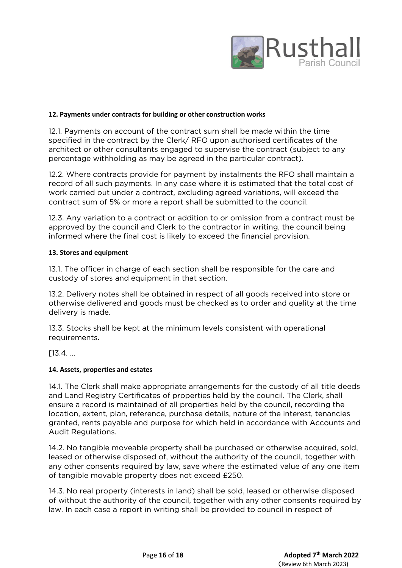

#### **12. Payments under contracts for building or other construction works**

12.1. Payments on account of the contract sum shall be made within the time specified in the contract by the Clerk/ RFO upon authorised certificates of the architect or other consultants engaged to supervise the contract (subject to any percentage withholding as may be agreed in the particular contract).

12.2. Where contracts provide for payment by instalments the RFO shall maintain a record of all such payments. In any case where it is estimated that the total cost of work carried out under a contract, excluding agreed variations, will exceed the contract sum of 5% or more a report shall be submitted to the council.

12.3. Any variation to a contract or addition to or omission from a contract must be approved by the council and Clerk to the contractor in writing, the council being informed where the final cost is likely to exceed the financial provision.

## **13. Stores and equipment**

13.1. The officer in charge of each section shall be responsible for the care and custody of stores and equipment in that section.

13.2. Delivery notes shall be obtained in respect of all goods received into store or otherwise delivered and goods must be checked as to order and quality at the time delivery is made.

13.3. Stocks shall be kept at the minimum levels consistent with operational requirements.

[13.4. …

## **14. Assets, properties and estates**

14.1. The Clerk shall make appropriate arrangements for the custody of all title deeds and Land Registry Certificates of properties held by the council. The Clerk, shall ensure a record is maintained of all properties held by the council, recording the location, extent, plan, reference, purchase details, nature of the interest, tenancies granted, rents payable and purpose for which held in accordance with Accounts and Audit Regulations.

14.2. No tangible moveable property shall be purchased or otherwise acquired, sold, leased or otherwise disposed of, without the authority of the council, together with any other consents required by law, save where the estimated value of any one item of tangible movable property does not exceed £250.

14.3. No real property (interests in land) shall be sold, leased or otherwise disposed of without the authority of the council, together with any other consents required by law. In each case a report in writing shall be provided to council in respect of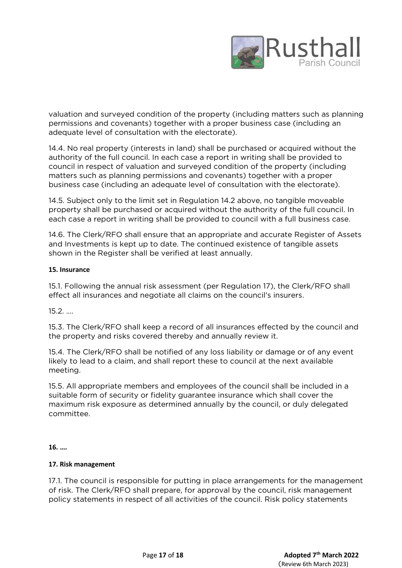

valuation and surveyed condition of the property (including matters such as planning permissions and covenants) together with a proper business case (including an adequate level of consultation with the electorate).

14.4. No real property (interests in land) shall be purchased or acquired without the authority of the full council. In each case a report in writing shall be provided to council in respect of valuation and surveyed condition of the property (including matters such as planning permissions and covenants) together with a proper business case (including an adequate level of consultation with the electorate).

14.5. Subject only to the limit set in Regulation 14.2 above, no tangible moveable property shall be purchased or acquired without the authority of the full council. In each case a report in writing shall be provided to council with a full business case.

14.6. The Clerk/RFO shall ensure that an appropriate and accurate Register of Assets and Investments is kept up to date. The continued existence of tangible assets shown in the Register shall be verified at least annually.

## **15. Insurance**

15.1. Following the annual risk assessment (per Regulation 17), the Clerk/RFO shall effect all insurances and negotiate all claims on the council's insurers.

15.2. ….

15.3. The Clerk/RFO shall keep a record of all insurances effected by the council and the property and risks covered thereby and annually review it.

15.4. The Clerk/RFO shall be notified of any loss liability or damage or of any event likely to lead to a claim, and shall report these to council at the next available meeting.

15.5. All appropriate members and employees of the council shall be included in a suitable form of security or fidelity guarantee insurance which shall cover the maximum risk exposure as determined annually by the council, or duly delegated committee.

**16. ….**

## **17. Risk management**

17.1. The council is responsible for putting in place arrangements for the management of risk. The Clerk/RFO shall prepare, for approval by the council, risk management policy statements in respect of all activities of the council. Risk policy statements